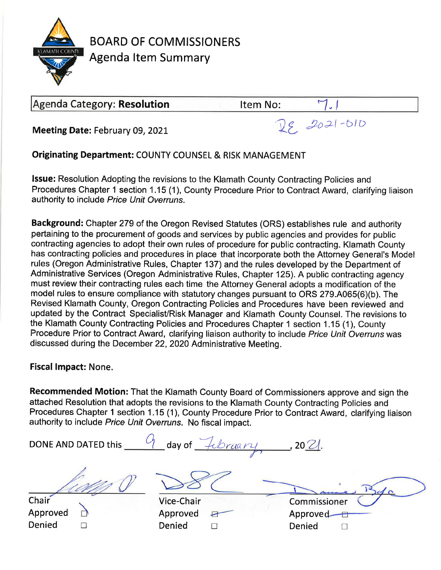

**BOARD OF COMMISSIONERS Agenda Item Summary** 

# Agenda Category: Resolution

Item No:

Meeting Date: February 09, 2021

 $28.2021 - 010$ 

**Originating Department: COUNTY COUNSEL & RISK MANAGEMENT** 

**Issue:** Resolution Adopting the revisions to the Klamath County Contracting Policies and Procedures Chapter 1 section 1.15 (1), County Procedure Prior to Contract Award, clarifying liaison authority to include Price Unit Overruns.

Background: Chapter 279 of the Oregon Revised Statutes (ORS) establishes rule and authority pertaining to the procurement of goods and services by public agencies and provides for public contracting agencies to adopt their own rules of procedure for public contracting. Klamath County has contracting policies and procedures in place that incorporate both the Attorney General's Model rules (Oregon Administrative Rules, Chapter 137) and the rules developed by the Department of Administrative Services (Oregon Administrative Rules, Chapter 125). A public contracting agency must review their contracting rules each time the Attorney General adopts a modification of the model rules to ensure compliance with statutory changes pursuant to ORS 279.A065(6)(b). The Revised Klamath County, Oregon Contracting Policies and Procedures have been reviewed and updated by the Contract Specialist/Risk Manager and Klamath County Counsel. The revisions to the Klamath County Contracting Policies and Procedures Chapter 1 section 1.15 (1), County Procedure Prior to Contract Award, clarifying liaison authority to include Price Unit Overruns was discussed during the December 22, 2020 Administrative Meeting.

**Fiscal Impact: None.** 

Recommended Motion: That the Klamath County Board of Commissioners approve and sign the attached Resolution that adopts the revisions to the Klamath County Contracting Policies and Procedures Chapter 1 section 1.15 (1), County Procedure Prior to Contract Award, clarifying liaison authority to include Price Unit Overruns. No fiscal impact.

DONE AND DATED this  $\frac{c_1}{c_2}$  day of  $\frac{c_1}{c_1}$  bruary 2021. Chair Vice-Chair Commissioner Approved Approved Approved ₽ Denied Denied Denied  $\Box$  $\Box$  $\Box$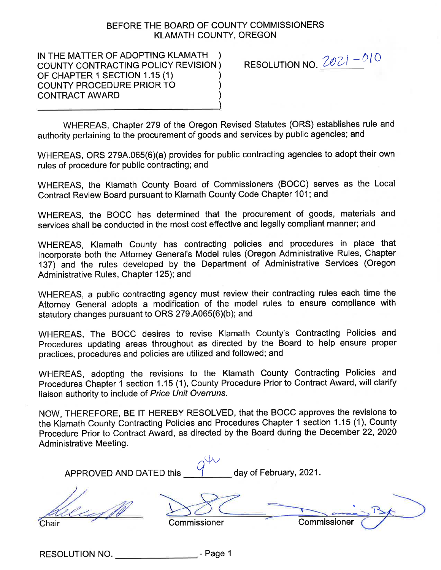### BEFORE THE BOARD OF COUNTY COMMISSIONERS **KLAMATH COUNTY, OREGON**

IN THE MATTER OF ADOPTING KLAMATH ) COUNTY CONTRACTING POLICY REVISION) OF CHAPTER 1 SECTION 1.15 (1) COUNTY PROCEDURE PRIOR TO **CONTRACT AWARD** 

RESOLUTION NO.  $2021 - 010$ 

WHEREAS, Chapter 279 of the Oregon Revised Statutes (ORS) establishes rule and authority pertaining to the procurement of goods and services by public agencies; and

WHEREAS, ORS 279A.065(6)(a) provides for public contracting agencies to adopt their own rules of procedure for public contracting; and

WHEREAS, the Klamath County Board of Commissioners (BOCC) serves as the Local Contract Review Board pursuant to Klamath County Code Chapter 101; and

WHEREAS, the BOCC has determined that the procurement of goods, materials and services shall be conducted in the most cost effective and legally compliant manner; and

WHEREAS, Klamath County has contracting policies and procedures in place that incorporate both the Attorney General's Model rules (Oregon Administrative Rules, Chapter 137) and the rules developed by the Department of Administrative Services (Oregon Administrative Rules, Chapter 125); and

WHEREAS, a public contracting agency must review their contracting rules each time the Attorney General adopts a modification of the model rules to ensure compliance with statutory changes pursuant to ORS 279.A065(6)(b); and

WHEREAS, The BOCC desires to revise Klamath County's Contracting Policies and Procedures updating areas throughout as directed by the Board to help ensure proper practices, procedures and policies are utilized and followed; and

WHEREAS, adopting the revisions to the Klamath County Contracting Policies and Procedures Chapter 1 section 1.15 (1), County Procedure Prior to Contract Award, will clarify liaison authority to include of Price Unit Overruns.

NOW, THEREFORE, BE IT HEREBY RESOLVED, that the BOCC approves the revisions to the Klamath County Contracting Policies and Procedures Chapter 1 section 1.15 (1), County Procedure Prior to Contract Award, as directed by the Board during the December 22, 2020 **Administrative Meeting.** 

APPROVED AND DATED this

 $q^{\mathcal{U}\mathcal{U}}$  day of February, 2021.

Chair

Commissioner

Commissioner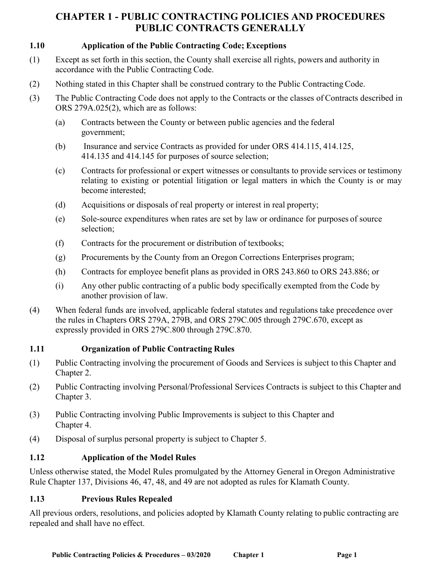### **1.10 Application of the Public Contracting Code; Exceptions**

- (1) Except as set forth in this section, the County shall exercise all rights, powers and authority in accordance with the Public Contracting Code.
- (2) Nothing stated in this Chapter shall be construed contrary to the Public Contracting Code.
- (3) The Public Contracting Code does not apply to the Contracts or the classes of Contracts described in ORS 279A.025(2), which are as follows:
	- (a) Contracts between the County or between public agencies and the federal government;
	- (b) Insurance and service Contracts as provided for under ORS 414.115, 414.125, 414.135 and 414.145 for purposes of source selection;
	- (c) Contracts for professional or expert witnesses or consultants to provide services or testimony relating to existing or potential litigation or legal matters in which the County is or may become interested;
	- (d) Acquisitions or disposals of real property or interest in real property;
	- (e) Sole-source expenditures when rates are set by law or ordinance for purposes of source selection;
	- (f) Contracts for the procurement or distribution of textbooks;
	- (g) Procurements by the County from an Oregon Corrections Enterprises program;
	- (h) Contracts for employee benefit plans as provided in ORS 243.860 to ORS 243.886; or
	- (i) Any other public contracting of a public body specifically exempted from the Code by another provision of law.
- (4) When federal funds are involved, applicable federal statutes and regulations take precedence over the rules in Chapters ORS 279A, 279B, and ORS 279C.005 through 279C.670, except as expressly provided in ORS 279C.800 through 279C.870.

### **1.11 Organization of Public Contracting Rules**

- (1) Public Contracting involving the procurement of Goods and Services is subject to this Chapter and Chapter 2.
- (2) Public Contracting involving Personal/Professional Services Contracts is subject to this Chapter and Chapter 3.
- (3) Public Contracting involving Public Improvements is subject to this Chapter and Chapter 4.
- (4) Disposal of surplus personal property is subject to Chapter 5.

### **1.12 Application of the Model Rules**

Unless otherwise stated, the Model Rules promulgated by the Attorney General in Oregon Administrative Rule Chapter 137, Divisions 46, 47, 48, and 49 are not adopted as rules for Klamath County.

### **1.13 Previous Rules Repealed**

All previous orders, resolutions, and policies adopted by Klamath County relating to public contracting are repealed and shall have no effect.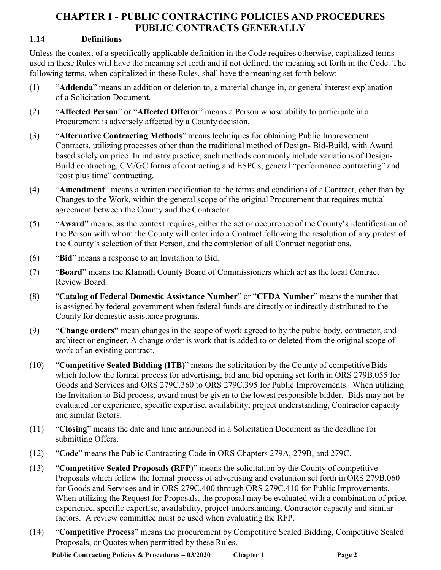### **1.14 Definitions**

Unless the context of a specifically applicable definition in the Code requires otherwise, capitalized terms used in these Rules will have the meaning set forth and if not defined, the meaning set forth in the Code. The following terms, when capitalized in these Rules, shall have the meaning set forth below:

- (1) "**Addenda**" means an addition or deletion to, a material change in, or general interest explanation of a Solicitation Document.
- (2) "**Affected Person**" or "**Affected Offeror**" means a Person whose ability to participate in a Procurement is adversely affected by a County decision.
- (3) "**Alternative Contracting Methods**" means techniques for obtaining Public Improvement Contracts, utilizing processes other than the traditional method of Design- Bid-Build, with Award based solely on price. In industry practice, such methods commonly include variations of Design-Build contracting, CM/GC forms of contracting and ESPCs, general "performance contracting" and "cost plus time" contracting.
- (4) "**Amendment**" means a written modification to the terms and conditions of a Contract, other than by Changes to the Work, within the general scope of the original Procurement that requires mutual agreement between the County and the Contractor.
- (5) "**Award**" means, as the context requires, either the act or occurrence of the County's identification of the Person with whom the County will enter into a Contract following the resolution of any protest of the County's selection of that Person, and the completion of all Contract negotiations.
- (6) "**Bid**" means a response to an Invitation to Bid.
- (7) "**Board**" means the Klamath County Board of Commissioners which act as the local Contract Review Board.
- (8) "**Catalog of Federal Domestic Assistance Number**" or "**CFDA Number**" meansthe number that is assigned by federal government when federal funds are directly or indirectly distributed to the County for domestic assistance programs.
- (9) **"Change orders"** mean changes in the scope of work agreed to by the pubic body, contractor, and architect or engineer. A change order is work that is added to or deleted from the original scope of work of an existing contract.
- (10) "**Competitive Sealed Bidding (ITB)**" means the solicitation by the County of competitive Bids which follow the formal process for advertising, bid and bid opening set forth in ORS 279B.055 for Goods and Services and ORS 279C.360 to ORS 279C.395 for Public Improvements. When utilizing the Invitation to Bid process, award must be given to the lowest responsible bidder. Bids may not be evaluated for experience, specific expertise, availability, project understanding, Contractor capacity and similar factors.
- (11) "**Closing**" means the date and time announced in a Solicitation Document as the deadline for submitting Offers.
- (12) "**Code**" means the Public Contracting Code in ORS Chapters 279A, 279B, and 279C.
- (13) "**Competitive Sealed Proposals (RFP)**" means the solicitation by the County of competitive Proposals which follow the formal process of advertising and evaluation set forth in ORS 279B.060 for Goods and Services and in ORS 279C.400 through ORS 279C.410 for Public Improvements. When utilizing the Request for Proposals, the proposal may be evaluated with a combination of price, experience, specific expertise, availability, project understanding, Contractor capacity and similar factors. A review committee must be used when evaluating the RFP.
- (14) "**Competitive Process**" means the procurement by Competitive Sealed Bidding, Competitive Sealed Proposals, or Quotes when permitted by these Rules.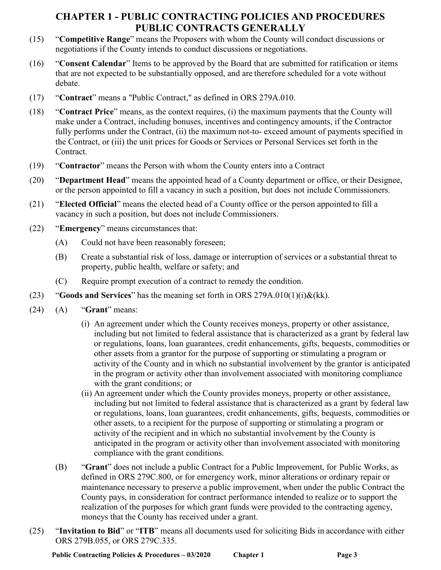- (15) "**Competitive Range**" means the Proposers with whom the County will conduct discussions or negotiations if the County intends to conduct discussions or negotiations.
- (16) "**Consent Calendar**" Items to be approved by the Board that are submitted for ratification or items that are not expected to be substantially opposed, and are therefore scheduled for a vote without debate.
- (17) "**Contract**" means a "Public Contract," as defined in ORS 279A.010.
- (18) "**Contract Price**" means, as the context requires, (i) the maximum payments that the County will make under a Contract, including bonuses, incentives and contingency amounts, if the Contractor fully performs under the Contract, (ii) the maximum not-to- exceed amount of payments specified in the Contract, or (iii) the unit prices for Goods or Services or Personal Services set forth in the Contract.
- (19) "**Contractor**" means the Person with whom the County enters into a Contract
- (20) "**Department Head**" means the appointed head of a County department or office, or their Designee, or the person appointed to fill a vacancy in such a position, but does not include Commissioners.
- (21) "**Elected Official**" means the elected head of a County office or the person appointed to fill a vacancy in such a position, but does not include Commissioners.
- (22) "**Emergency**" means circumstances that:
	- (A) Could not have been reasonably foreseen;
	- (B) Create a substantial risk of loss, damage or interruption of services or a substantial threat to property, public health, welfare or safety; and
	- (C) Require prompt execution of a contract to remedy the condition.
- (23) "**Goods and Services**" has the meaning set forth in ORS 279A.010(1)(i)&(kk).
- (24) (A) "**Grant**" means:
	- (i) An agreement under which the County receives moneys, property or other assistance, including but not limited to federal assistance that is characterized as a grant by federal law or regulations, loans, loan guarantees, credit enhancements, gifts, bequests, commodities or other assets from a grantor for the purpose of supporting or stimulating a program or activity of the County and in which no substantial involvement by the grantor is anticipated in the program or activity other than involvement associated with monitoring compliance with the grant conditions; or
	- (ii) An agreement under which the County provides moneys, property or other assistance, including but not limited to federal assistance that is characterized as a grant by federal law or regulations, loans, loan guarantees, credit enhancements, gifts, bequests, commodities or other assets, to a recipient for the purpose of supporting or stimulating a program or activity of the recipient and in which no substantial involvement by the County is anticipated in the program or activity other than involvement associated with monitoring compliance with the grant conditions.
	- (B) "**Grant**" does not include a public Contract for a Public Improvement, for Public Works, as defined in ORS 279C.800, or for emergency work, minor alterations or ordinary repair or maintenance necessary to preserve a public improvement, when under the public Contract the County pays, in consideration for contract performance intended to realize or to support the realization of the purposes for which grant funds were provided to the contracting agency, moneys that the County has received under a grant.
- (25) "**Invitation to Bid**" or "**ITB**" means all documents used for soliciting Bids in accordance with either ORS 279B.055, or ORS 279C.335.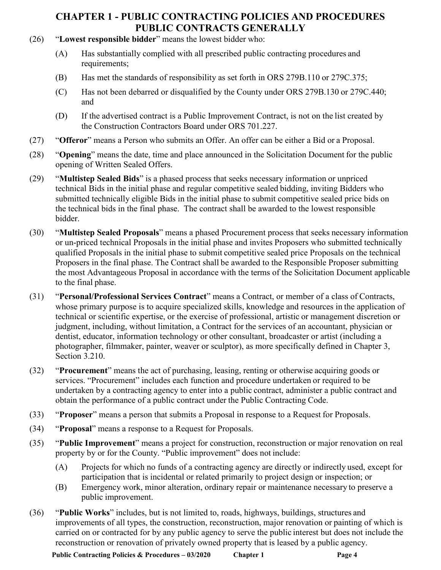- (26) "**Lowest responsible bidder**" means the lowest bidder who:
	- (A) Has substantially complied with all prescribed public contracting procedures and requirements;
	- (B) Has met the standards of responsibility as set forth in ORS 279B.110 or 279C.375;
	- (C) Has not been debarred or disqualified by the County under ORS 279B.130 or 279C.440; and
	- (D) If the advertised contract is a Public Improvement Contract, is not on the list created by the Construction Contractors Board under ORS 701.227.
- (27) "**Offeror**" means a Person who submits an Offer. An offer can be either a Bid or a Proposal.
- (28) "**Opening**" means the date, time and place announced in the Solicitation Document for the public opening of Written Sealed Offers.
- (29) "**Multistep Sealed Bids**" is a phased process that seeks necessary information or unpriced technical Bids in the initial phase and regular competitive sealed bidding, inviting Bidders who submitted technically eligible Bids in the initial phase to submit competitive sealed price bids on the technical bids in the final phase. The contract shall be awarded to the lowest responsible bidder.
- (30) "**Multistep Sealed Proposals**" means a phased Procurement process that seeks necessary information or un-priced technical Proposals in the initial phase and invites Proposers who submitted technically qualified Proposals in the initial phase to submit competitive sealed price Proposals on the technical Proposers in the final phase. The Contract shall be awarded to the Responsible Proposer submitting the most Advantageous Proposal in accordance with the terms of the Solicitation Document applicable to the final phase.
- (31) "**Personal/Professional Services Contract**" means a Contract, or member of a class of Contracts, whose primary purpose is to acquire specialized skills, knowledge and resources in the application of technical or scientific expertise, or the exercise of professional, artistic or management discretion or judgment, including, without limitation, a Contract for the services of an accountant, physician or dentist, educator, information technology or other consultant, broadcaster or artist (including a photographer, filmmaker, painter, weaver or sculptor), as more specifically defined in Chapter 3, Section 3.210.
- (32) "**Procurement**" means the act of purchasing, leasing, renting or otherwise acquiring goods or services. "Procurement" includes each function and procedure undertaken or required to be undertaken by a contracting agency to enter into a public contract, administer a public contract and obtain the performance of a public contract under the Public Contracting Code.
- (33) "**Proposer**" means a person that submits a Proposal in response to a Request for Proposals.
- (34) "**Proposal**" means a response to a Request for Proposals.
- (35) "**Public Improvement**" means a project for construction, reconstruction or major renovation on real property by or for the County. "Public improvement" does not include:
	- (A) Projects for which no funds of a contracting agency are directly or indirectly used, except for participation that is incidental or related primarily to project design or inspection; or
	- (B) Emergency work, minor alteration, ordinary repair or maintenance necessary to preserve a public improvement.
- (36) "**Public Works**" includes, but is not limited to, roads, highways, buildings, structures and improvements of all types, the construction, reconstruction, major renovation or painting of which is carried on or contracted for by any public agency to serve the public interest but does not include the reconstruction or renovation of privately owned property that is leased by a public agency.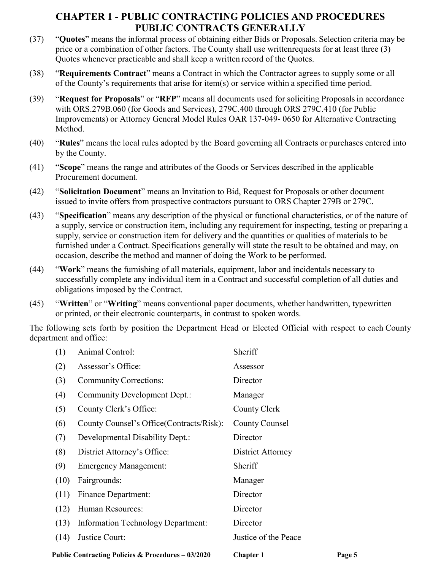- (37) "**Quotes**" means the informal process of obtaining either Bids or Proposals. Selection criteria may be price or a combination of other factors. The County shall use writtenrequests for at least three (3) Quotes whenever practicable and shall keep a written record of the Quotes.
- (38) "**Requirements Contract**" means a Contract in which the Contractor agrees to supply some or all of the County's requirements that arise for item(s) or service within a specified time period.
- (39) "**Request for Proposals**" or "**RFP**" means all documents used for soliciting Proposalsin accordance with ORS.279B.060 (for Goods and Services), 279C.400 through ORS 279C.410 (for Public Improvements) or Attorney General Model Rules OAR 137-049- 0650 for Alternative Contracting Method.
- (40) "**Rules**" means the local rules adopted by the Board governing all Contracts or purchases entered into by the County.
- (41) "**Scope**" means the range and attributes of the Goods or Services described in the applicable Procurement document.
- (42) "**Solicitation Document**" means an Invitation to Bid, Request for Proposals or other document issued to invite offers from prospective contractors pursuant to ORS Chapter 279B or 279C.
- (43) "**Specification**" means any description of the physical or functional characteristics, or of the nature of a supply, service or construction item, including any requirement for inspecting, testing or preparing a supply, service or construction item for delivery and the quantities or qualities of materials to be furnished under a Contract. Specifications generally will state the result to be obtained and may, on occasion, describe the method and manner of doing the Work to be performed.
- (44) "**Work**" means the furnishing of all materials, equipment, labor and incidentals necessary to successfully complete any individual item in a Contract and successful completion of all duties and obligations imposed by the Contract.
- (45) "**Written**" or "**Writing**" means conventional paper documents, whether handwritten, typewritten or printed, or their electronic counterparts, in contrast to spoken words.

The following sets forth by position the Department Head or Elected Official with respect to each County department and office:

| Public Contracting Policies & Procedures - 03/2020 |                                           | <b>Chapter 1</b>     | Page 5 |
|----------------------------------------------------|-------------------------------------------|----------------------|--------|
| (14)                                               | Justice Court:                            | Justice of the Peace |        |
| (13)                                               | <b>Information Technology Department:</b> | Director             |        |
| (12)                                               | Human Resources:                          | Director             |        |
| (11)                                               | <b>Finance Department:</b>                | Director             |        |
| (10)                                               | Fairgrounds:                              | Manager              |        |
| (9)                                                | <b>Emergency Management:</b>              | Sheriff              |        |
| (8)                                                | District Attorney's Office:               | District Attorney    |        |
| (7)                                                | Developmental Disability Dept.:           | Director             |        |
| (6)                                                | County Counsel's Office (Contracts/Risk): | County Counsel       |        |
| (5)                                                | County Clerk's Office:                    | County Clerk         |        |
| (4)                                                | <b>Community Development Dept.:</b>       | Manager              |        |
| (3)                                                | Community Corrections:                    | Director             |        |
| (2)                                                | Assessor's Office:                        | Assessor             |        |
| (1)                                                | <b>Animal Control:</b>                    | Sheriff              |        |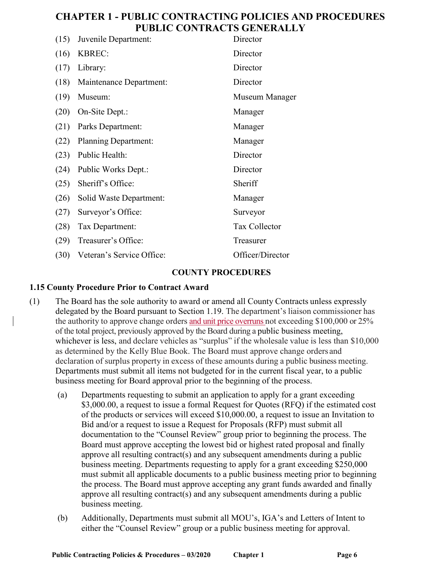| (15) | Juvenile Department:        | Director             |
|------|-----------------------------|----------------------|
| (16) | <b>KBREC:</b>               | Director             |
| (17) | Library:                    | Director             |
| (18) | Maintenance Department:     | Director             |
| (19) | Museum:                     | Museum Manager       |
| (20) | On-Site Dept.:              | Manager              |
| (21) | Parks Department:           | Manager              |
| (22) | <b>Planning Department:</b> | Manager              |
| (23) | Public Health:              | Director             |
| (24) | Public Works Dept.:         | Director             |
| (25) | Sheriff's Office:           | Sheriff              |
| (26) | Solid Waste Department:     | Manager              |
| (27) | Surveyor's Office:          | Surveyor             |
| (28) | Tax Department:             | <b>Tax Collector</b> |
| (29) | Treasurer's Office:         | Treasurer            |
| (30) | Veteran's Service Office:   | Officer/Director     |

#### **COUNTY PROCEDURES**

### **1.15 County Procedure Prior to Contract Award**

- (1) The Board has the sole authority to award or amend all County Contracts unless expressly delegated by the Board pursuant to Section 1.19. The department's liaison commissioner has the authority to approve change orders and unit price overruns not exceeding \$100,000 or 25% of the total project, previously approved by the Board during a public business meeting, whichever is less, and declare vehicles as "surplus" if the wholesale value is less than \$10,000 as determined by the Kelly Blue Book. The Board must approve change orders and declaration of surplus property in excess of these amounts during a public business meeting. Departments must submit all items not budgeted for in the current fiscal year, to a public business meeting for Board approval prior to the beginning of the process.
	- (a) Departments requesting to submit an application to apply for a grant exceeding \$3,000.00, a request to issue a formal Request for Quotes (RFQ) if the estimated cost of the products or services will exceed \$10,000.00, a request to issue an Invitation to Bid and/or a request to issue a Request for Proposals (RFP) must submit all documentation to the "Counsel Review" group prior to beginning the process. The Board must approve accepting the lowest bid or highest rated proposal and finally approve all resulting contract(s) and any subsequent amendments during a public business meeting. Departments requesting to apply for a grant exceeding \$250,000 must submit all applicable documents to a public business meeting prior to beginning the process. The Board must approve accepting any grant funds awarded and finally approve all resulting contract(s) and any subsequent amendments during a public business meeting.
	- (b) Additionally, Departments must submit all MOU's, IGA's and Letters of Intent to either the "Counsel Review" group or a public business meeting for approval.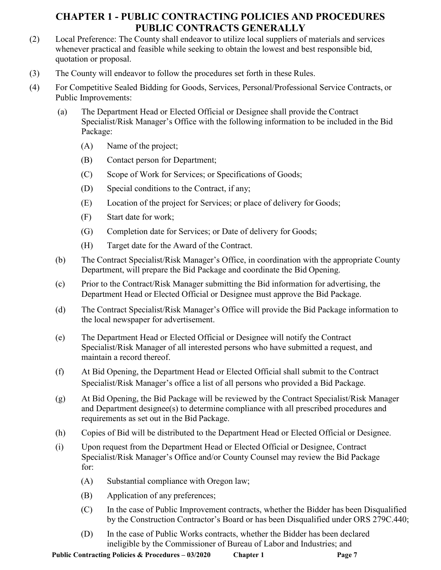- (2) Local Preference: The County shall endeavor to utilize local suppliers of materials and services whenever practical and feasible while seeking to obtain the lowest and best responsible bid, quotation or proposal.
- (3) The County will endeavor to follow the procedures set forth in these Rules.
- (4) For Competitive Sealed Bidding for Goods, Services, Personal/Professional Service Contracts, or Public Improvements:
	- (a) The Department Head or Elected Official or Designee shall provide the Contract Specialist/Risk Manager's Office with the following information to be included in the Bid Package:
		- (A) Name of the project;
		- (B) Contact person for Department;
		- (C) Scope of Work for Services; or Specifications of Goods;
		- (D) Special conditions to the Contract, if any;
		- (E) Location of the project for Services; or place of delivery for Goods;
		- (F) Start date for work;
		- (G) Completion date for Services; or Date of delivery for Goods;
		- (H) Target date for the Award of the Contract.
	- (b) The Contract Specialist/Risk Manager's Office, in coordination with the appropriate County Department, will prepare the Bid Package and coordinate the Bid Opening.
	- (c) Prior to the Contract/Risk Manager submitting the Bid information for advertising, the Department Head or Elected Official or Designee must approve the Bid Package.
	- (d) The Contract Specialist/Risk Manager's Office will provide the Bid Package information to the local newspaper for advertisement.
	- (e) The Department Head or Elected Official or Designee will notify the Contract Specialist/Risk Manager of all interested persons who have submitted a request, and maintain a record thereof.
	- (f) At Bid Opening, the Department Head or Elected Official shall submit to the Contract Specialist/Risk Manager's office a list of all persons who provided a Bid Package.
	- (g) At Bid Opening, the Bid Package will be reviewed by the Contract Specialist/Risk Manager and Department designee(s) to determine compliance with all prescribed procedures and requirements as set out in the Bid Package.
	- (h) Copies of Bid will be distributed to the Department Head or Elected Official or Designee.
	- (i) Upon request from the Department Head or Elected Official or Designee, Contract Specialist/Risk Manager's Office and/or County Counsel may review the Bid Package for:
		- (A) Substantial compliance with Oregon law;
		- (B) Application of any preferences;
		- (C) In the case of Public Improvement contracts, whether the Bidder has been Disqualified by the Construction Contractor's Board or has been Disqualified under ORS 279C.440;
		- (D) In the case of Public Works contracts, whether the Bidder has been declared ineligible by the Commissioner of Bureau of Labor and Industries; and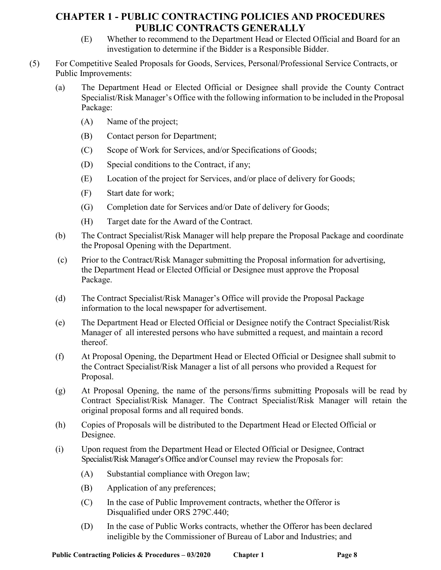- (E) Whether to recommend to the Department Head or Elected Official and Board for an investigation to determine if the Bidder is a Responsible Bidder.
- (5) For Competitive Sealed Proposals for Goods, Services, Personal/Professional Service Contracts, or Public Improvements:
	- (a) The Department Head or Elected Official or Designee shall provide the County Contract Specialist/Risk Manager's Office with the following information to be included in the Proposal Package:
		- (A) Name of the project;
		- (B) Contact person for Department;
		- (C) Scope of Work for Services, and/or Specifications of Goods;
		- (D) Special conditions to the Contract, if any;
		- (E) Location of the project for Services, and/or place of delivery for Goods;
		- (F) Start date for work;
		- (G) Completion date for Services and/or Date of delivery for Goods;
		- (H) Target date for the Award of the Contract.
	- (b) The Contract Specialist/Risk Manager will help prepare the Proposal Package and coordinate the Proposal Opening with the Department.
	- (c) Prior to the Contract/Risk Manager submitting the Proposal information for advertising, the Department Head or Elected Official or Designee must approve the Proposal Package.
	- (d) The Contract Specialist/Risk Manager's Office will provide the Proposal Package information to the local newspaper for advertisement.
	- (e) The Department Head or Elected Official or Designee notify the Contract Specialist/Risk Manager of all interested persons who have submitted a request, and maintain a record thereof.
	- (f) At Proposal Opening, the Department Head or Elected Official or Designee shall submit to the Contract Specialist/Risk Manager a list of all persons who provided a Request for Proposal.
	- (g) At Proposal Opening, the name of the persons/firms submitting Proposals will be read by Contract Specialist/Risk Manager. The Contract Specialist/Risk Manager will retain the original proposal forms and all required bonds.
	- (h) Copies of Proposals will be distributed to the Department Head or Elected Official or Designee.
	- (i) Upon request from the Department Head or Elected Official or Designee, Contract Specialist/Risk Manager's Office and/or Counsel may review the Proposals for:
		- (A) Substantial compliance with Oregon law;
		- (B) Application of any preferences;
		- (C) In the case of Public Improvement contracts, whether the Offeror is Disqualified under ORS 279C.440;
		- (D) In the case of Public Works contracts, whether the Offeror has been declared ineligible by the Commissioner of Bureau of Labor and Industries; and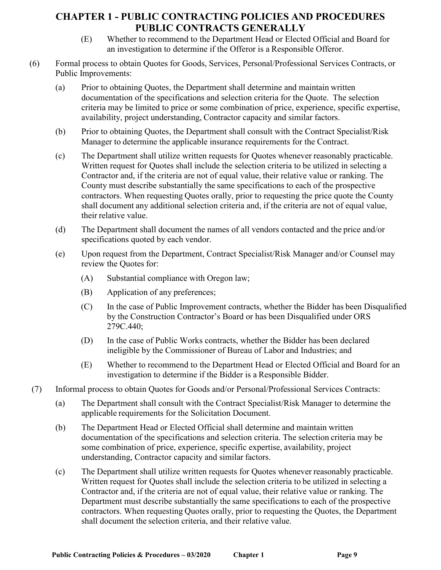- (E) Whether to recommend to the Department Head or Elected Official and Board for an investigation to determine if the Offeror is a Responsible Offeror.
- (6) Formal process to obtain Quotes for Goods, Services, Personal/Professional Services Contracts, or Public Improvements:
	- (a) Prior to obtaining Quotes, the Department shall determine and maintain written documentation of the specifications and selection criteria for the Quote. The selection criteria may be limited to price or some combination of price, experience, specific expertise, availability, project understanding, Contractor capacity and similar factors.
	- (b) Prior to obtaining Quotes, the Department shall consult with the Contract Specialist/Risk Manager to determine the applicable insurance requirements for the Contract.
	- (c) The Department shall utilize written requests for Quotes whenever reasonably practicable. Written request for Quotes shall include the selection criteria to be utilized in selecting a Contractor and, if the criteria are not of equal value, their relative value or ranking. The County must describe substantially the same specifications to each of the prospective contractors. When requesting Quotes orally, prior to requesting the price quote the County shall document any additional selection criteria and, if the criteria are not of equal value, their relative value.
	- (d) The Department shall document the names of all vendors contacted and the price and/or specifications quoted by each vendor.
	- (e) Upon request from the Department, Contract Specialist/Risk Manager and/or Counsel may review the Quotes for:
		- (A) Substantial compliance with Oregon law;
		- (B) Application of any preferences;
		- (C) In the case of Public Improvement contracts, whether the Bidder has been Disqualified by the Construction Contractor's Board or has been Disqualified under ORS 279C.440;
		- (D) In the case of Public Works contracts, whether the Bidder has been declared ineligible by the Commissioner of Bureau of Labor and Industries; and
		- (E) Whether to recommend to the Department Head or Elected Official and Board for an investigation to determine if the Bidder is a Responsible Bidder.
- (7) Informal process to obtain Quotes for Goods and/or Personal/Professional Services Contracts:
	- (a) The Department shall consult with the Contract Specialist/Risk Manager to determine the applicable requirements for the Solicitation Document.
	- (b) The Department Head or Elected Official shall determine and maintain written documentation of the specifications and selection criteria. The selection criteria may be some combination of price, experience, specific expertise, availability, project understanding, Contractor capacity and similar factors.
	- (c) The Department shall utilize written requests for Quotes whenever reasonably practicable. Written request for Quotes shall include the selection criteria to be utilized in selecting a Contractor and, if the criteria are not of equal value, their relative value or ranking. The Department must describe substantially the same specifications to each of the prospective contractors. When requesting Quotes orally, prior to requesting the Quotes, the Department shall document the selection criteria, and their relative value.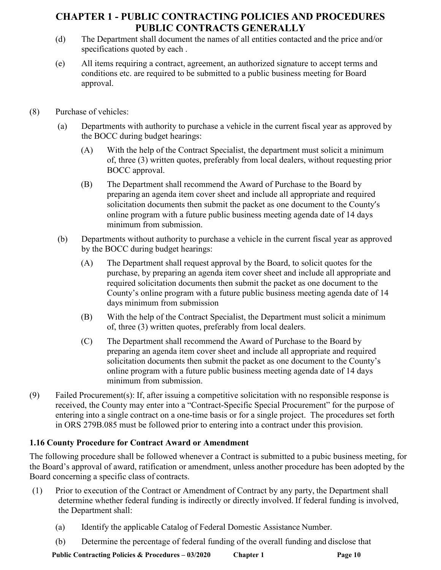- (d) The Department shall document the names of all entities contacted and the price and/or specifications quoted by each .
- (e) All items requiring a contract, agreement, an authorized signature to accept terms and conditions etc. are required to be submitted to a public business meeting for Board approval.
- (8) Purchase of vehicles:
	- (a) Departments with authority to purchase a vehicle in the current fiscal year as approved by the BOCC during budget hearings:
		- (A) With the help of the Contract Specialist, the department must solicit a minimum of, three (3) written quotes, preferably from local dealers, without requesting prior BOCC approval.
		- (B) The Department shall recommend the Award of Purchase to the Board by preparing an agenda item cover sheet and include all appropriate and required solicitation documents then submit the packet as one document to the County's online program with a future public business meeting agenda date of 14 days minimum from submission.
	- (b) Departments without authority to purchase a vehicle in the current fiscal year as approved by the BOCC during budget hearings:
		- (A) The Department shall request approval by the Board, to solicit quotes for the purchase, by preparing an agenda item cover sheet and include all appropriate and required solicitation documents then submit the packet as one document to the County's online program with a future public business meeting agenda date of 14 days minimum from submission
		- (B) With the help of the Contract Specialist, the Department must solicit a minimum of, three (3) written quotes, preferably from local dealers.
		- (C) The Department shall recommend the Award of Purchase to the Board by preparing an agenda item cover sheet and include all appropriate and required solicitation documents then submit the packet as one document to the County's online program with a future public business meeting agenda date of 14 days minimum from submission.
- (9) Failed Procurement(s): If, after issuing a competitive solicitation with no responsible response is received, the County may enter into a "Contract-Specific Special Procurement" for the purpose of entering into a single contract on a one-time basis or for a single project. The procedures set forth in ORS 279B.085 must be followed prior to entering into a contract under this provision.

## **1.16 County Procedure for Contract Award or Amendment**

The following procedure shall be followed whenever a Contract is submitted to a pubic business meeting, for the Board's approval of award, ratification or amendment, unless another procedure has been adopted by the Board concerning a specific class of contracts.

- (1) Prior to execution of the Contract or Amendment of Contract by any party, the Department shall determine whether federal funding is indirectly or directly involved. If federal funding is involved, the Department shall:
	- (a) Identify the applicable Catalog of Federal Domestic Assistance Number.
	- (b) Determine the percentage of federal funding of the overall funding and disclose that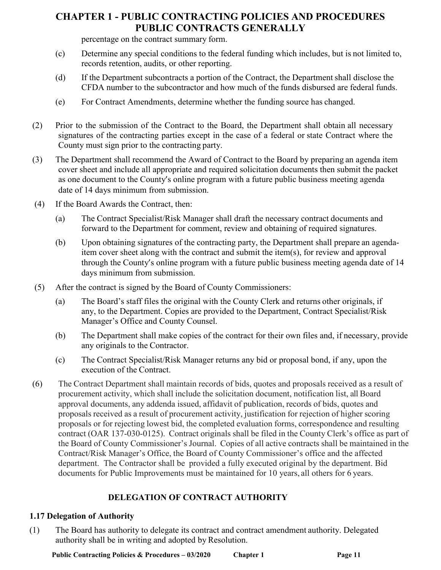percentage on the contract summary form.

- (c) Determine any special conditions to the federal funding which includes, but is not limited to, records retention, audits, or other reporting.
- (d) If the Department subcontracts a portion of the Contract, the Department shall disclose the CFDA number to the subcontractor and how much of the funds disbursed are federal funds.
- (e) For Contract Amendments, determine whether the funding source has changed.
- (2) Prior to the submission of the Contract to the Board, the Department shall obtain all necessary signatures of the contracting parties except in the case of a federal or state Contract where the County must sign prior to the contracting party.
- (3) The Department shall recommend the Award of Contract to the Board by preparing an agenda item cover sheet and include all appropriate and required solicitation documents then submit the packet as one document to the County's online program with a future public business meeting agenda date of 14 days minimum from submission.
- (4) If the Board Awards the Contract, then:
	- (a) The Contract Specialist/Risk Manager shall draft the necessary contract documents and forward to the Department for comment, review and obtaining of required signatures.
	- (b) Upon obtaining signatures of the contracting party, the Department shall prepare an agendaitem cover sheet along with the contract and submit the item(s), for review and approval through the County's online program with a future public business meeting agenda date of 14 days minimum from submission.
- (5) After the contract is signed by the Board of County Commissioners:
	- (a) The Board's staff files the original with the County Clerk and returns other originals, if any, to the Department. Copies are provided to the Department, Contract Specialist/Risk Manager's Office and County Counsel.
	- (b) The Department shall make copies of the contract for their own files and, if necessary, provide any originals to the Contractor.
	- (c) The Contract Specialist/Risk Manager returns any bid or proposal bond, if any, upon the execution of the Contract.
- (6) The Contract Department shall maintain records of bids, quotes and proposals received as a result of procurement activity, which shall include the solicitation document, notification list, all Board approval documents, any addenda issued, affidavit of publication, records of bids, quotes and proposals received as a result of procurement activity, justification for rejection of higher scoring proposals or for rejecting lowest bid, the completed evaluation forms, correspondence and resulting contract (OAR 137-030-0125). Contract originals shall be filed in the County Clerk's office as part of the Board of County Commissioner's Journal. Copies of all active contracts shall be maintained in the Contract/Risk Manager's Office, the Board of County Commissioner's office and the affected department. The Contractor shall be provided a fully executed original by the department. Bid documents for Public Improvements must be maintained for 10 years, all others for 6 years.

# **DELEGATION OF CONTRACT AUTHORITY**

## **1.17 Delegation of Authority**

(1) The Board has authority to delegate its contract and contract amendment authority. Delegated authority shall be in writing and adopted by Resolution.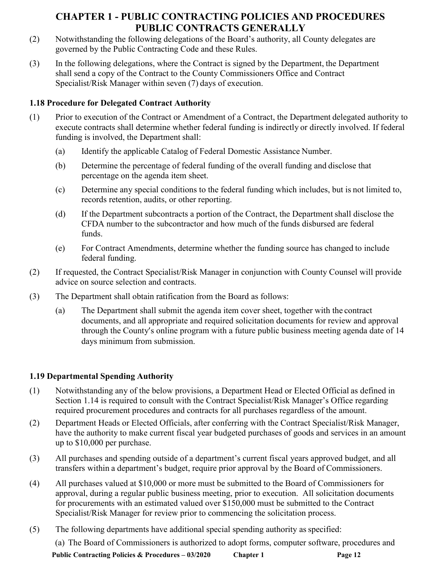- (2) Notwithstanding the following delegations of the Board's authority, all County delegates are governed by the Public Contracting Code and these Rules.
- (3) In the following delegations, where the Contract is signed by the Department, the Department shall send a copy of the Contract to the County Commissioners Office and Contract Specialist/Risk Manager within seven (7) days of execution.

## **1.18 Procedure for Delegated Contract Authority**

- (1) Prior to execution of the Contract or Amendment of a Contract, the Department delegated authority to execute contracts shall determine whether federal funding is indirectly or directly involved. If federal funding is involved, the Department shall:
	- (a) Identify the applicable Catalog of Federal Domestic Assistance Number.
	- (b) Determine the percentage of federal funding of the overall funding and disclose that percentage on the agenda item sheet.
	- (c) Determine any special conditions to the federal funding which includes, but is not limited to, records retention, audits, or other reporting.
	- (d) If the Department subcontracts a portion of the Contract, the Department shall disclose the CFDA number to the subcontractor and how much of the funds disbursed are federal funds.
	- (e) For Contract Amendments, determine whether the funding source has changed to include federal funding.
- (2) If requested, the Contract Specialist/Risk Manager in conjunction with County Counsel will provide advice on source selection and contracts.
- (3) The Department shall obtain ratification from the Board as follows:
	- (a) The Department shall submit the agenda item cover sheet, together with the contract documents, and all appropriate and required solicitation documents for review and approval through the County's online program with a future public business meeting agenda date of 14 days minimum from submission.

# **1.19 Departmental Spending Authority**

- (1) Notwithstanding any of the below provisions, a Department Head or Elected Official as defined in Section 1.14 is required to consult with the Contract Specialist/Risk Manager's Office regarding required procurement procedures and contracts for all purchases regardless of the amount.
- (2) Department Heads or Elected Officials, after conferring with the Contract Specialist/Risk Manager, have the authority to make current fiscal year budgeted purchases of goods and services in an amount up to \$10,000 per purchase.
- (3) All purchases and spending outside of a department's current fiscal years approved budget, and all transfers within a department's budget, require prior approval by the Board of Commissioners.
- (4) All purchases valued at \$10,000 or more must be submitted to the Board of Commissioners for approval, during a regular public business meeting, prior to execution. All solicitation documents for procurements with an estimated valued over \$150,000 must be submitted to the Contract Specialist/Risk Manager for review prior to commencing the solicitation process.
- (5) The following departments have additional special spending authority as specified:

(a) The Board of Commissioners is authorized to adopt forms, computer software, procedures and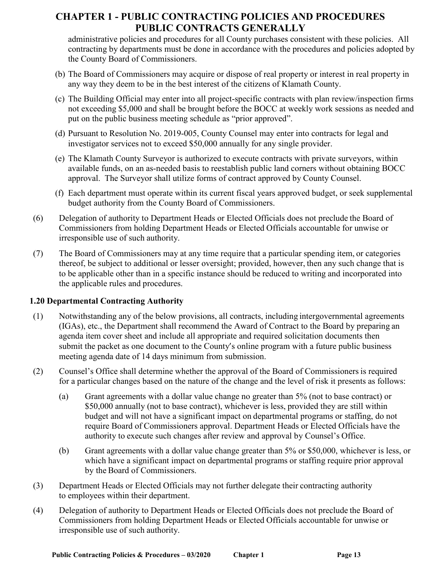administrative policies and procedures for all County purchases consistent with these policies. All contracting by departments must be done in accordance with the procedures and policies adopted by the County Board of Commissioners.

- (b) The Board of Commissioners may acquire or dispose of real property or interest in real property in any way they deem to be in the best interest of the citizens of Klamath County.
- (c) The Building Official may enter into all project-specific contracts with plan review/inspection firms not exceeding \$5,000 and shall be brought before the BOCC at weekly work sessions as needed and put on the public business meeting schedule as "prior approved".
- (d) Pursuant to Resolution No. 2019-005, County Counsel may enter into contracts for legal and investigator services not to exceed \$50,000 annually for any single provider.
- (e) The Klamath County Surveyor is authorized to execute contracts with private surveyors, within available funds, on an as-needed basis to reestablish public land corners without obtaining BOCC approval. The Surveyor shall utilize forms of contract approved by County Counsel.
- (f) Each department must operate within its current fiscal years approved budget, or seek supplemental budget authority from the County Board of Commissioners.
- (6) Delegation of authority to Department Heads or Elected Officials does not preclude the Board of Commissioners from holding Department Heads or Elected Officials accountable for unwise or irresponsible use of such authority.
- (7) The Board of Commissioners may at any time require that a particular spending item, or categories thereof, be subject to additional or lesser oversight; provided, however, then any such change that is to be applicable other than in a specific instance should be reduced to writing and incorporated into the applicable rules and procedures.

## **1.20 Departmental Contracting Authority**

- (1) Notwithstanding any of the below provisions, all contracts, including intergovernmental agreements (IGAs), etc., the Department shall recommend the Award of Contract to the Board by preparing an agenda item cover sheet and include all appropriate and required solicitation documents then submit the packet as one document to the County's online program with a future public business meeting agenda date of 14 days minimum from submission.
- (2) Counsel's Office shall determine whether the approval of the Board of Commissioners is required for a particular changes based on the nature of the change and the level of risk it presents as follows:
	- (a) Grant agreements with a dollar value change no greater than 5% (not to base contract) or \$50,000 annually (not to base contract), whichever is less, provided they are still within budget and will not have a significant impact on departmental programs or staffing, do not require Board of Commissioners approval. Department Heads or Elected Officials have the authority to execute such changes after review and approval by Counsel's Office.
	- (b) Grant agreements with a dollar value change greater than 5% or \$50,000, whichever is less, or which have a significant impact on departmental programs or staffing require prior approval by the Board of Commissioners.
- (3) Department Heads or Elected Officials may not further delegate their contracting authority to employees within their department.
- (4) Delegation of authority to Department Heads or Elected Officials does not preclude the Board of Commissioners from holding Department Heads or Elected Officials accountable for unwise or irresponsible use of such authority.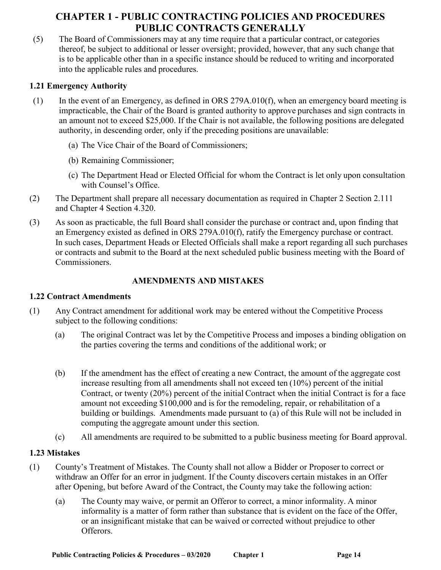(5) The Board of Commissioners may at any time require that a particular contract, or categories thereof, be subject to additional or lesser oversight; provided, however, that any such change that is to be applicable other than in a specific instance should be reduced to writing and incorporated into the applicable rules and procedures.

### **1.21 Emergency Authority**

- (1) In the event of an Emergency, as defined in ORS 279A.010(f), when an emergency board meeting is impracticable, the Chair of the Board is granted authority to approve purchases and sign contracts in an amount not to exceed \$25,000. If the Chair is not available, the following positions are delegated authority, in descending order, only if the preceding positions are unavailable:
	- (a) The Vice Chair of the Board of Commissioners;
	- (b) Remaining Commissioner;
	- (c) The Department Head or Elected Official for whom the Contract is let only upon consultation with Counsel's Office.
- (2) The Department shall prepare all necessary documentation as required in Chapter 2 Section 2.111 and Chapter 4 Section 4.320.
- (3) As soon as practicable, the full Board shall consider the purchase or contract and, upon finding that an Emergency existed as defined in ORS 279A.010(f), ratify the Emergency purchase or contract. In such cases, Department Heads or Elected Officials shall make a report regarding all such purchases or contracts and submit to the Board at the next scheduled public business meeting with the Board of Commissioners.

### **AMENDMENTS AND MISTAKES**

### **1.22 Contract Amendments**

- (1) Any Contract amendment for additional work may be entered without the Competitive Process subject to the following conditions:
	- (a) The original Contract was let by the Competitive Process and imposes a binding obligation on the parties covering the terms and conditions of the additional work; or
	- (b) If the amendment has the effect of creating a new Contract, the amount of the aggregate cost increase resulting from all amendments shall not exceed ten (10%) percent of the initial Contract, or twenty (20%) percent of the initial Contract when the initial Contract is for a face amount not exceeding \$100,000 and is for the remodeling, repair, or rehabilitation of a building or buildings. Amendments made pursuant to (a) of this Rule will not be included in computing the aggregate amount under this section.
	- (c) All amendments are required to be submitted to a public business meeting for Board approval.

### **1.23 Mistakes**

- (1) County's Treatment of Mistakes. The County shall not allow a Bidder or Proposer to correct or withdraw an Offer for an error in judgment. If the County discovers certain mistakes in an Offer after Opening, but before Award of the Contract, the County may take the following action:
	- (a) The County may waive, or permit an Offeror to correct, a minor informality. A minor informality is a matter of form rather than substance that is evident on the face of the Offer, or an insignificant mistake that can be waived or corrected without prejudice to other Offerors.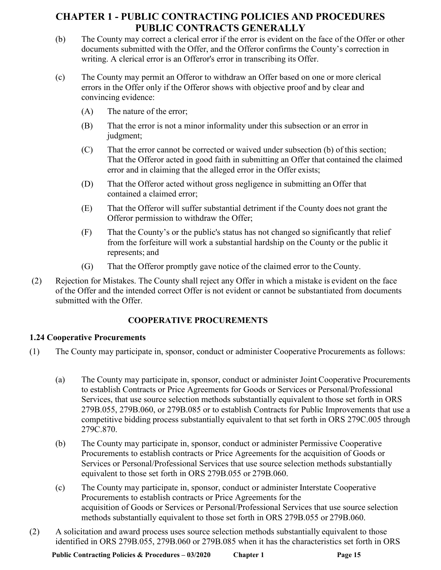- (b) The County may correct a clerical error if the error is evident on the face of the Offer or other documents submitted with the Offer, and the Offeror confirms the County's correction in writing. A clerical error is an Offeror's error in transcribing its Offer.
- (c) The County may permit an Offeror to withdraw an Offer based on one or more clerical errors in the Offer only if the Offeror shows with objective proof and by clear and convincing evidence:
	- (A) The nature of the error;
	- (B) That the error is not a minor informality under this subsection or an error in judgment;
	- (C) That the error cannot be corrected or waived under subsection (b) of this section; That the Offeror acted in good faith in submitting an Offer that contained the claimed error and in claiming that the alleged error in the Offer exists;
	- (D) That the Offeror acted without gross negligence in submitting an Offer that contained a claimed error;
	- (E) That the Offeror will suffer substantial detriment if the County does not grant the Offeror permission to withdraw the Offer;
	- (F) That the County's or the public's status has not changed so significantly that relief from the forfeiture will work a substantial hardship on the County or the public it represents; and
	- (G) That the Offeror promptly gave notice of the claimed error to the County.
- (2) Rejection for Mistakes. The County shall reject any Offer in which a mistake is evident on the face of the Offer and the intended correct Offer is not evident or cannot be substantiated from documents submitted with the Offer.

## **COOPERATIVE PROCUREMENTS**

## **1.24 Cooperative Procurements**

- (1) The County may participate in, sponsor, conduct or administer Cooperative Procurements as follows:
	- (a) The County may participate in, sponsor, conduct or administer Joint Cooperative Procurements to establish Contracts or Price Agreements for Goods or Services or Personal/Professional Services, that use source selection methods substantially equivalent to those set forth in ORS 279B.055, 279B.060, or 279B.085 or to establish Contracts for Public Improvements that use a competitive bidding process substantially equivalent to that set forth in ORS 279C.005 through 279C.870.
	- (b) The County may participate in, sponsor, conduct or administer Permissive Cooperative Procurements to establish contracts or Price Agreements for the acquisition of Goods or Services or Personal/Professional Services that use source selection methods substantially equivalent to those set forth in ORS 279B.055 or 279B.060.
	- (c) The County may participate in, sponsor, conduct or administer Interstate Cooperative Procurements to establish contracts or Price Agreements for the acquisition of Goods or Services or Personal/Professional Services that use source selection methods substantially equivalent to those set forth in ORS 279B.055 or 279B.060.
- (2) A solicitation and award process uses source selection methods substantially equivalent to those identified in ORS 279B.055, 279B.060 or 279B.085 when it has the characteristics set forth in ORS